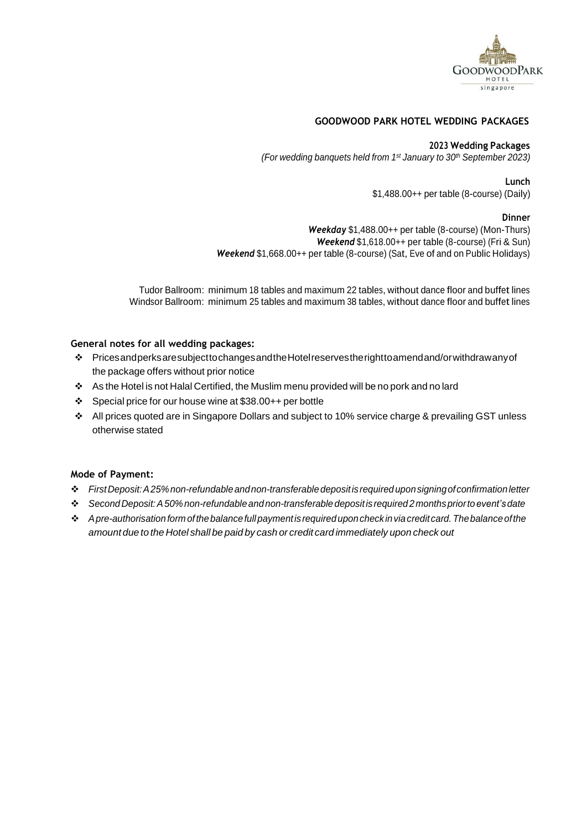

## **GOODWOOD PARK HOTEL WEDDING PACKAGES**

#### **2023 Wedding Packages**

*(For wedding banquets held from 1 st January to 30th September 2023)*

#### **Lunch**

\$1,488.00++ per table (8-course) (Daily)

#### **Dinner**

*Weekday* \$1,488.00++ per table (8-course) (Mon-Thurs) *Weekend* \$1,618.00++ per table (8-course) (Fri & Sun) *Weekend* \$1,668.00++ per table (8-course) (Sat, Eve of and on Public Holidays)

Tudor Ballroom: minimum 18 tables and maximum 22 tables, without dance floor and buffet lines Windsor Ballroom: minimum 25 tables and maximum 38 tables, without dance floor and buffet lines

#### **General notes for all wedding packages:**

- ❖ PricesandperksaresubjecttochangesandtheHotelreservestherighttoamendand/orwithdrawanyof the package offers without prior notice
- ❖ As the Hotel is not Halal Certified, the Muslim menu provided will be no pork and no lard
- ❖ Special price for our house wine at \$38.00++ per bottle
- ❖ All prices quoted are in Singapore Dollars and subject to 10% service charge & prevailing GST unless otherwise stated

### **Mode of Payment:**

- ❖ *FirstDeposit:A25%non-refundableandnon-transferabledepositisrequireduponsigningofconfirmationletter*
- ❖ *SecondDeposit:A50%non-refundable andnon-transferable depositisrequired2monthspriortoevent's date*
- ❖ *Apre-authorisation formofthebalancefullpaymentisrequireduponcheck inviacreditcard. Thebalance ofthe amount due to the Hotel shall be paid by cash or credit card immediately upon check out*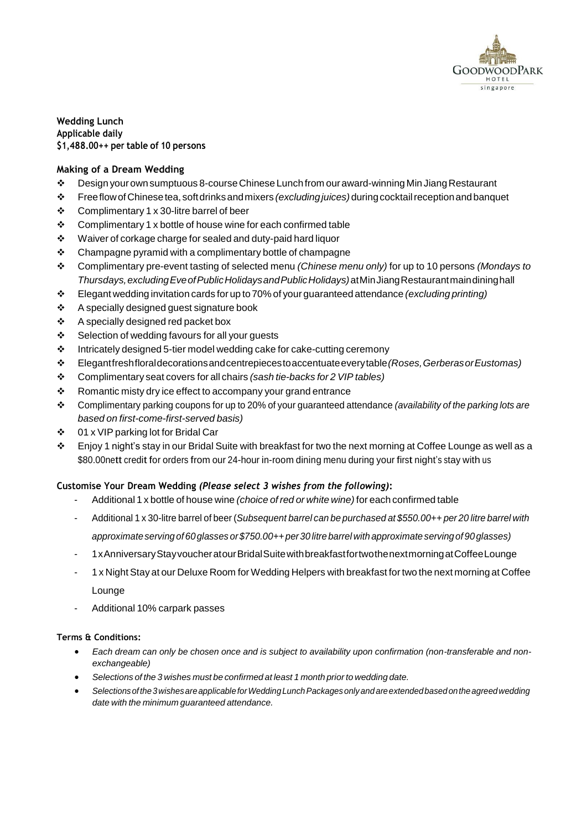

**Wedding Lunch Applicable daily \$1,488.00++ per table of 10 persons**

# **Making of a Dream Wedding**

- ❖ Design yourownsumptuous 8-courseChinese Lunchfrom ouraward-winning Min JiangRestaurant
- ❖ FreeflowofChinesetea, softdrinksandmixers *(excludingjuices)* duringcocktailreceptionandbanquet
- ❖ Complimentary 1 x 30-litre barrel of beer
- ❖ Complimentary 1 x bottle of house wine for each confirmed table
- ❖ Waiver of corkage charge for sealed and duty-paid hard liquor
- ❖ Champagne pyramid with a complimentary bottle of champagne
- ❖ Complimentary pre-event tasting of selected menu *(Chinese menu only)* for up to 10 persons *(Mondays to Thursdays,excludingEveofPublicHolidaysandPublicHolidays)*atMinJiangRestaurantmaindininghall
- ❖ Elegant wedding invitation cards for up to 70% of your guaranteed attendance *(excluding printing)*
- ❖ A specially designed guest signature book
- ❖ A specially designed red packet box
- ❖ Selection of wedding favours for all your guests
- ❖ Intricately designed 5-tier model wedding cake for cake-cutting ceremony
- ❖ Elegantfreshfloraldecorationsandcentrepiecestoaccentuateeverytable*(Roses,GerberasorEustomas)*
- ❖ Complimentary seat covers for all chairs *(sash tie-backs for 2 VIP tables)*
- ❖ Romantic misty dry ice effect to accompany your grand entrance
- ❖ Complimentary parking coupons for up to 20% of your guaranteed attendance *(availability of the parking lots are based on first-come-first-served basis)*
- ❖ 01 x VIP parking lot for Bridal Car
- ❖ Enjoy 1 night's stay in our Bridal Suite with breakfast for two the next morning at Coffee Lounge as well as a \$80.00nett credit for orders from our 24-hour in-room dining menu during your first night's stay with us

### **Customise Your Dream Wedding** *(Please select 3 wishes from the following)***:**

- Additional 1 x bottle of house wine *(choice of red or white wine)* for each confirmed table
- Additional 1 x 30-litre barrel of beer (*Subsequent barrel can be purchased at \$550.00++ per 20 litre barrel with approximate serving of 60glasses or\$750.00++ per30 litre barrel with approximate servingof 90glasses)*
- 1xAnniversaryStayvoucheratourBridalSuitewithbreakfastfortwothenextmorningatCoffeeLounge
- 1 x Night Stay at our Deluxe Room forWedding Helpers with breakfast for two the next morning at Coffee Lounge
- Additional 10% carpark passes

- *Each dream can only be chosen once and is subject to availability upon confirmation (non-transferable and nonexchangeable)*
- *Selections of the 3 wishes must be confirmed at least 1 month prior to wedding date.*
- *Selectionsofthe3wishesareapplicableforWeddingLunchPackagesonlyand areextendedbasedontheagreedwedding date with the minimum guaranteed attendance.*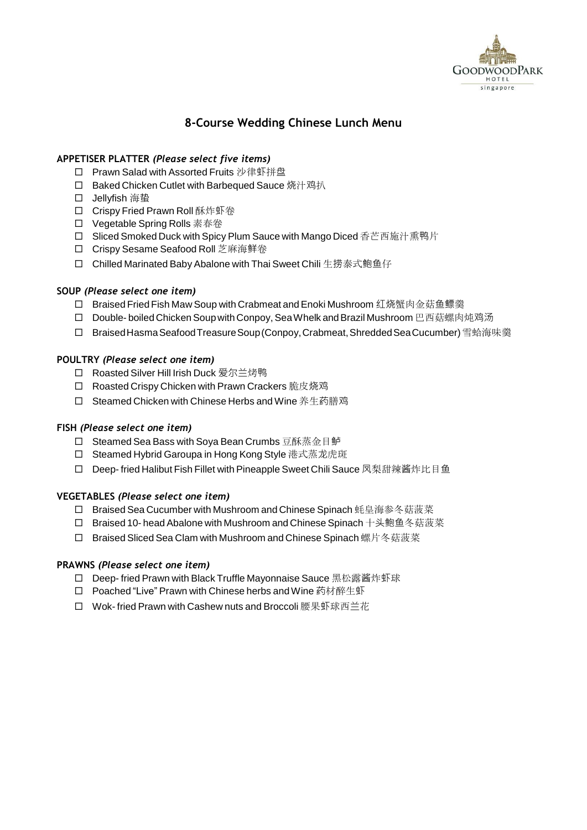

# **8-Course Wedding Chinese Lunch Menu**

## **APPETISER PLATTER** *(Please select five items)*

- □ Prawn Salad with Assorted Fruits 沙律虾拼盘
- □ Baked Chicken Cutlet with Barbequed Sauce 烧汁鸡扒
- Jellyfish 海蛰
- □ Crispy Fried Prawn Roll 酥炸虾卷
- □ Vegetable Spring Rolls 素春卷
- □ Sliced Smoked Duck with Spicy Plum Sauce with Mango Diced 香芒西施汁熏鸭片
- Crispy Sesame Seafood Roll 芝麻海鲜卷
- □ Chilled Marinated Baby Abalone with Thai Sweet Chili 生捞泰式鲍鱼仔

## **SOUP** *(Please select one item)*

- □ Braised Fried Fish Maw Soup with Crabmeat and Enoki Mushroom 红烧蟹肉金菇鱼鳔羹
- □ Double- boiled Chicken Soup with Conpoy, Sea Whelk and Brazil Mushroom 巴西菇螺肉炖鸡汤
- □ Braised Hasma Seafood Treasure Soup (Conpoy, Crabmeat, Shredded Sea Cucumber) 雪蛤海味羹

## **POULTRY** *(Please select one item)*

- □ Roasted Silver Hill Irish Duck 爱尔兰烤鸭
- □ Roasted Crispy Chicken with Prawn Crackers 脆皮烧鸡
- □ Steamed Chicken with Chinese Herbs and Wine 养生药膳鸡

### **FISH** *(Please select one item)*

- □ Steamed Sea Bass with Soya Bean Crumbs 豆酥蒸金目鲈
- □ Steamed Hybrid Garoupa in Hong Kong Style 港式蒸龙虎斑
- □ Deep- fried Halibut Fish Fillet with Pineapple Sweet Chili Sauce 凤梨甜辣酱炸比目鱼

### **VEGETABLES** *(Please select one item)*

- □ Braised Sea Cucumber with Mushroom and Chinese Spinach 蚝皇海参冬菇菠菜
- □ Braised 10- head Abalone with Mushroom and Chinese Spinach 十头鲍鱼冬菇菠菜
- □ Braised Sliced Sea Clam with Mushroom and Chinese Spinach 螺片冬菇菠菜

### **PRAWNS** *(Please select one item)*

- □ Deep- fried Prawn with Black Truffle Mayonnaise Sauce 黑松露酱炸虾球
- □ Poached "Live" Prawn with Chinese herbs and Wine 药材醉生虾
- □ Wok- fried Prawn with Cashew nuts and Broccoli 腰果虾球西兰花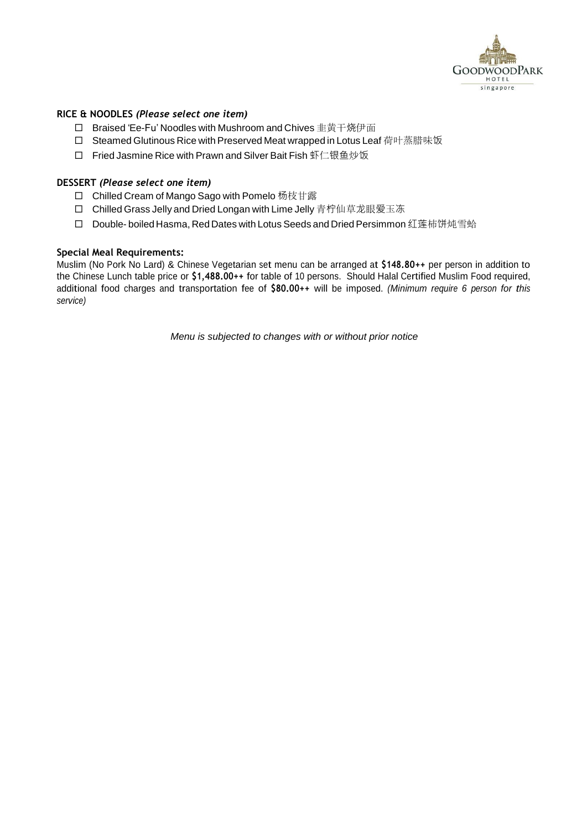

## **RICE & NOODLES** *(Please select one item)*

- □ Braised 'Ee-Fu' Noodles with Mushroom and Chives 韭黄干烧伊面
- □ Steamed Glutinous Rice with Preserved Meat wrapped in Lotus Leaf 荷叶蒸腊味饭
- □ Fried Jasmine Rice with Prawn and Silver Bait Fish 虾仁银鱼炒饭

## **DESSERT** *(Please select one item)*

- □ Chilled Cream of Mango Sago with Pomelo 杨枝甘露
- □ Chilled Grass Jelly and Dried Longan with Lime Jelly 青柠仙草龙眼爱玉冻
- □ Double- boiled Hasma, Red Dates with Lotus Seeds and Dried Persimmon 红莲柿饼炖雪蛤

### **Special Meal Requirements:**

Muslim (No Pork No Lard) & Chinese Vegetarian set menu can be arranged at **\$148.80++** per person in addition to the Chinese Lunch table price or **\$1,488.00++** for table of 10 persons. Should Halal Certified Muslim Food required, additional food charges and transportation fee of **\$80.00++** will be imposed. *(Minimum require 6 person for this service)*

*Menu is subjected to changes with or without prior notice*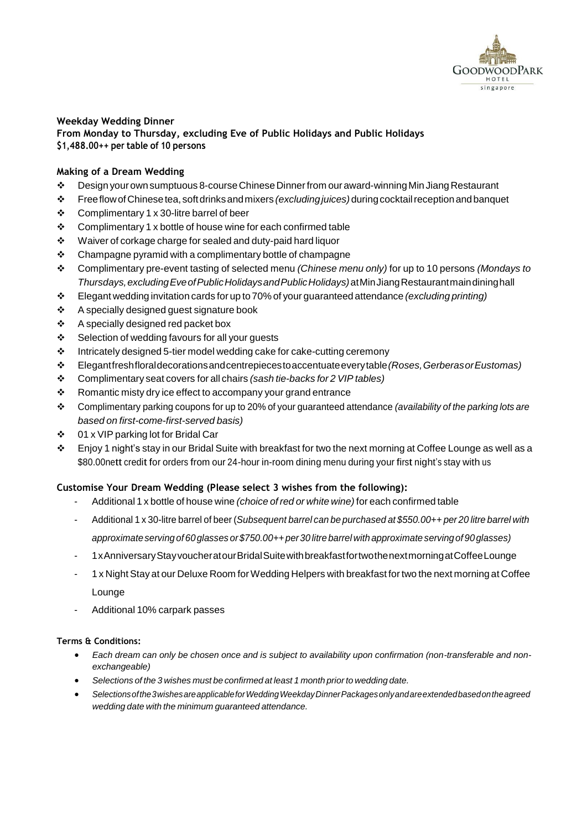

#### **Weekday Wedding Dinner From Monday to Thursday, excluding Eve of Public Holidays and Public Holidays \$1,488.00++ per table of 10 persons**

# **Making of a Dream Wedding**

- ❖ Design yourownsumptuous 8-courseChineseDinnerfrom ouraward-winning Min JiangRestaurant
- ❖ FreeflowofChinesetea, softdrinksandmixers *(excludingjuices)* duringcocktailreceptionandbanquet
- ❖ Complimentary 1 x 30-litre barrel of beer
- ❖ Complimentary 1 x bottle of house wine for each confirmed table
- ❖ Waiver of corkage charge for sealed and duty-paid hard liquor
- ❖ Champagne pyramid with a complimentary bottle of champagne
- ❖ Complimentary pre-event tasting of selected menu *(Chinese menu only)* for up to 10 persons *(Mondays to Thursdays,excludingEveofPublicHolidaysandPublicHolidays)*atMinJiangRestaurantmaindininghall
- ❖ Elegant wedding invitation cards for up to 70% of your guaranteed attendance *(excluding printing)*
- ❖ A specially designed guest signature book
- ❖ A specially designed red packet box
- ❖ Selection of wedding favours for all your guests
- ❖ Intricately designed 5-tier model wedding cake for cake-cutting ceremony
- ❖ Elegantfreshfloraldecorationsandcentrepiecestoaccentuateeverytable*(Roses,GerberasorEustomas)*
- ❖ Complimentary seat covers for all chairs *(sash tie-backs for 2 VIP tables)*
- ❖ Romantic misty dry ice effect to accompany your grand entrance
- ❖ Complimentary parking coupons for up to 20% of your guaranteed attendance *(availability of the parking lots are based on first-come-first-served basis)*
- ❖ 01 x VIP parking lot for Bridal Car
- $\cdot \cdot$  Enjoy 1 night's stay in our Bridal Suite with breakfast for two the next morning at Coffee Lounge as well as a \$80.00nett credit for orders from our 24-hour in-room dining menu during your first night's stay with us

### **Customise Your Dream Wedding (Please select 3 wishes from the following):**

- Additional 1 x bottle of house wine *(choice of red or white wine)* for each confirmed table
- Additional 1 x 30-litre barrel of beer (*Subsequent barrel can be purchased at \$550.00++ per 20 litre barrel with approximate serving of 60glasses or\$750.00++ per30 litre barrel with approximate servingof 90glasses)*
- 1xAnniversaryStayvoucheratourBridalSuitewithbreakfastfortwothenextmorningatCoffeeLounge
- 1 x Night Stay at our Deluxe Room forWedding Helpers with breakfast fortwo the next morning at Coffee Lounge
- Additional 10% carpark passes

- *Each dream can only be chosen once and is subject to availability upon confirmation (non-transferable and nonexchangeable)*
- *Selections of the 3 wishes must be confirmed at least 1 month prior to wedding date.*
- *Selectionsofthe3wishesareapplicableforWeddingWeekdayDinnerPackagesonlyandareextendedbasedontheagreed wedding date with the minimum guaranteed attendance.*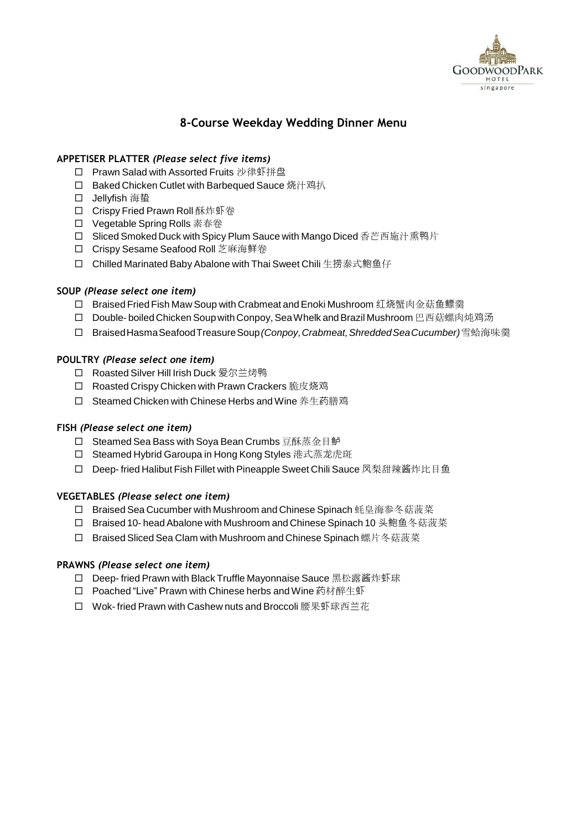

# **8-Course Weekday Wedding Dinner Menu**

# **APPETISER PLATTER** *(Please select five items)*

- □ Prawn Salad with Assorted Fruits 沙律虾拼盘
- □ Baked Chicken Cutlet with Barbequed Sauce 烧汁鸡扒
- Jellyfish 海蛰
- □ Crispy Fried Prawn Roll 酥炸虾卷
- □ Vegetable Spring Rolls 素春卷
- □ Sliced Smoked Duck with Spicy Plum Sauce with Mango Diced 香芒西施汁熏鸭片
- Crispy Sesame Seafood Roll 芝麻海鲜卷
- □ Chilled Marinated Baby Abalone with Thai Sweet Chili 生捞泰式鲍鱼仔

## **SOUP** *(Please select one item)*

- □ Braised Fried Fish Maw Soup with Crabmeat and Enoki Mushroom 红烧蟹肉金菇鱼鳔羹
- □ Double- boiled Chicken Soup with Conpoy, Sea Whelk and Brazil Mushroom 巴西菇螺肉炖鸡汤
- BraisedHasmaSeafoodTreasureSoup*(Conpoy, Crabmeat, ShreddedSeaCucumber)* 雪蛤海味羹

## **POULTRY** *(Please select one item)*

- □ Roasted Silver Hill Irish Duck 爱尔兰烤鸭
- □ Roasted Crispy Chicken with Prawn Crackers 脆皮烧鸡
- □ Steamed Chicken with Chinese Herbs and Wine 养生药膳鸡

### **FISH** *(Please select one item)*

- □ Steamed Sea Bass with Soya Bean Crumbs 豆酥蒸金目鲈
- □ Steamed Hybrid Garoupa in Hong Kong Styles 港式蒸龙虎斑
- □ Deep- fried Halibut Fish Fillet with Pineapple Sweet Chili Sauce 凤梨甜辣酱炸比目鱼

### **VEGETABLES** *(Please select one item)*

- □ Braised Sea Cucumber with Mushroom and Chinese Spinach 蚝皇海参冬菇菠菜
- □ Braised 10- head Abalone with Mushroom and Chinese Spinach 10 头鲍鱼冬菇菠菜
- □ Braised Sliced Sea Clam with Mushroom and Chinese Spinach 螺片冬菇菠菜

## **PRAWNS** *(Please select one item)*

- □ Deep- fried Prawn with Black Truffle Mayonnaise Sauce 黑松露酱炸虾球
- □ Poached "Live" Prawn with Chinese herbs and Wine 药材醉生虾
- □ Wok- fried Prawn with Cashew nuts and Broccoli 腰果虾球西兰花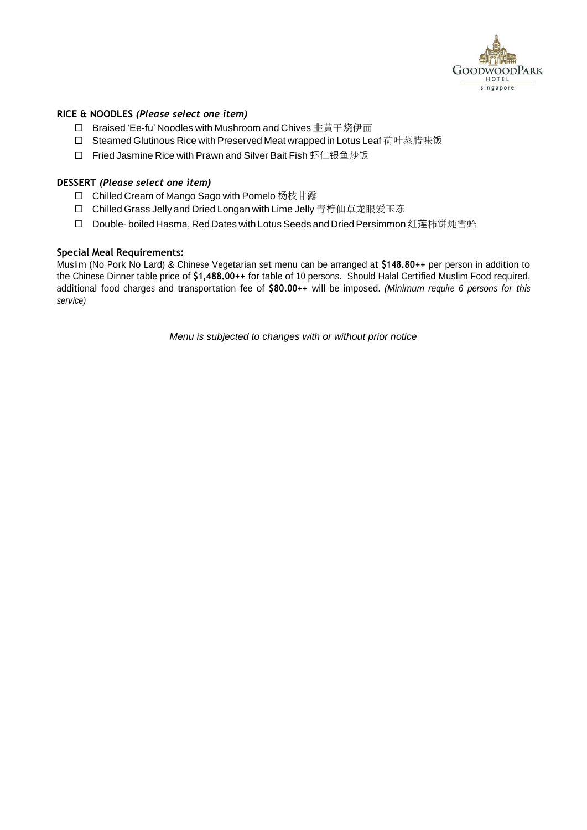

## **RICE & NOODLES** *(Please select one item)*

- □ Braised 'Ee-fu' Noodles with Mushroom and Chives 韭黄干烧伊面
- □ Steamed Glutinous Rice with Preserved Meat wrapped in Lotus Leaf 荷叶蒸腊味饭
- □ Fried Jasmine Rice with Prawn and Silver Bait Fish 虾仁银鱼炒饭

## **DESSERT** *(Please select one item)*

- □ Chilled Cream of Mango Sago with Pomelo 杨枝甘露
- □ Chilled Grass Jelly and Dried Longan with Lime Jelly 青柠仙草龙眼爱玉冻
- □ Double- boiled Hasma, Red Dates with Lotus Seeds and Dried Persimmon 红莲柿饼炖雪蛤

### **Special Meal Requirements:**

Muslim (No Pork No Lard) & Chinese Vegetarian set menu can be arranged at **\$148.80++** per person in addition to the Chinese Dinner table price of **\$1,488.00++** for table of 10 persons. Should Halal Certified Muslim Food required, additional food charges and transportation fee of **\$80.00++** will be imposed. *(Minimum require 6 persons for this service)*

*Menu is subjected to changes with or without prior notice*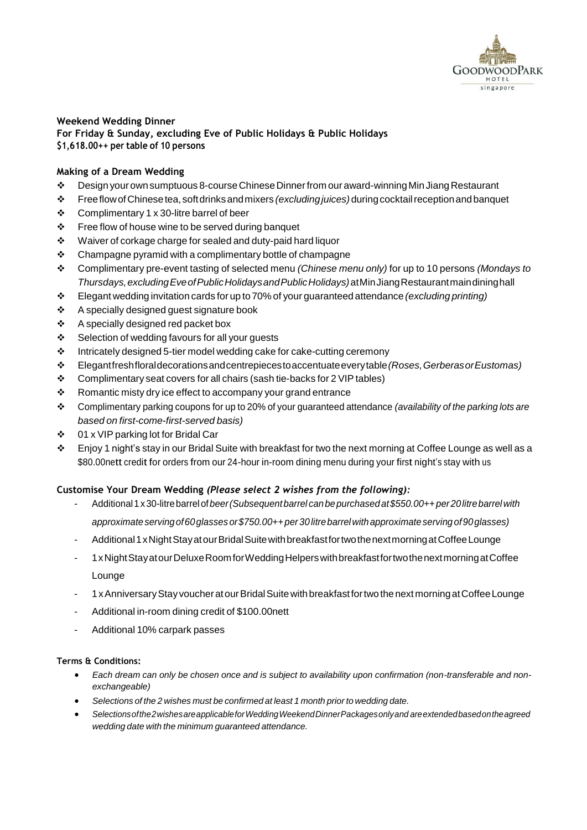

#### **Weekend Wedding Dinner For Friday & Sunday, excluding Eve of Public Holidays & Public Holidays \$1,618.00++ per table of 10 persons**

# **Making of a Dream Wedding**

- ❖ Design yourownsumptuous 8-courseChineseDinnerfrom our award-winning MinJiangRestaurant
- ❖ FreeflowofChinesetea, softdrinksandmixers *(excludingjuices)* duringcocktailreceptionandbanquet
- ❖ Complimentary 1 x 30-litre barrel of beer
- ❖ Free flow of house wine to be served during banquet
- ❖ Waiver of corkage charge for sealed and duty-paid hard liquor
- ❖ Champagne pyramid with a complimentary bottle of champagne
- ❖ Complimentary pre-event tasting of selected menu *(Chinese menu only)* for up to 10 persons *(Mondays to Thursdays,excludingEveofPublicHolidaysandPublicHolidays)*atMinJiangRestaurantmaindininghall
- ❖ Elegant wedding invitation cards for up to 70% of your guaranteed attendance *(excluding printing)*
- ❖ A specially designed guest signature book
- ❖ A specially designed red packet box
- ❖ Selection of wedding favours for all your guests
- ❖ Intricately designed 5-tier model wedding cake for cake-cutting ceremony
- ❖ Elegantfreshfloraldecorationsandcentrepiecestoaccentuateeverytable*(Roses,GerberasorEustomas)*
- ❖ Complimentary seat covers for all chairs (sash tie-backs for 2 VIP tables)
- ❖ Romantic misty dry ice effect to accompany your grand entrance
- ❖ Complimentary parking coupons for up to 20% of your guaranteed attendance *(availability of the parking lots are based on first-come-first-served basis)*
- ❖ 01 x VIP parking lot for Bridal Car
- $\cdot \cdot$  Enjoy 1 night's stay in our Bridal Suite with breakfast for two the next morning at Coffee Lounge as well as a \$80.00nett credit for orders from our 24-hour in-room dining menu during your first night's stay with us

### **Customise Your Dream Wedding** *(Please select 2 wishes from the following):*

- Additional1x30-litrebarrelof*beer(Subsequentbarrel canbepurchasedat\$550.00++per20litrebarrelwith approximateservingof60glasses or\$750.00++per 30litrebarrelwithapproximateservingof90glasses)*
- Additional 1 x Night Stay at our Bridal Suite with breakfast for two the next morning at Coffee Lounge
- 1xNightStayatourDeluxeRoomforWeddingHelperswithbreakfastfortwothenextmorningatCoffee Lounge
- 1x Anniversary Stay voucher at our Bridal Suite with breakfast for two the next morning at Coffee Lounge
- Additional in-room dining credit of \$100.00nett
- Additional 10% carpark passes

- *Each dream can only be chosen once and is subject to availability upon confirmation (non-transferable and nonexchangeable)*
- *Selections of the 2 wishes must be confirmed at least 1 month prior to wedding date.*
- *Selectionsofthe2wishesareapplicableforWeddingWeekendDinnerPackagesonlyand areextendedbasedontheagreed wedding date with the minimum guaranteed attendance.*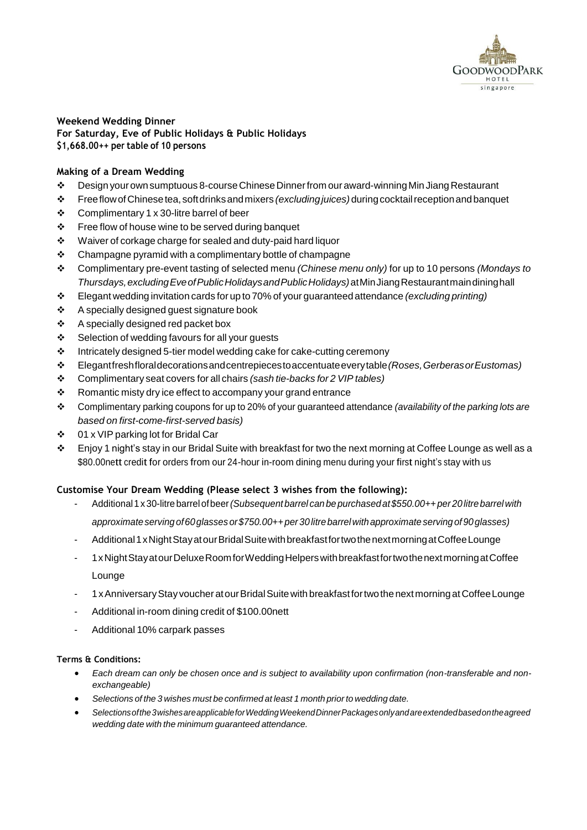

#### **Weekend Wedding Dinner For Saturday, Eve of Public Holidays & Public Holidays \$1,668.00++ per table of 10 persons**

# **Making of a Dream Wedding**

- ❖ Design yourownsumptuous 8-courseChineseDinnerfrom our award-winning Min JiangRestaurant
- ❖ FreeflowofChinesetea, softdrinksandmixers *(excludingjuices)* duringcocktailreceptionandbanquet
- ❖ Complimentary 1 x 30-litre barrel of beer
- ❖ Free flow of house wine to be served during banquet
- ❖ Waiver of corkage charge for sealed and duty-paid hard liquor
- ❖ Champagne pyramid with a complimentary bottle of champagne
- ❖ Complimentary pre-event tasting of selected menu *(Chinese menu only)* for up to 10 persons *(Mondays to Thursdays,excludingEveofPublicHolidaysandPublicHolidays)*atMinJiangRestaurantmaindininghall
- ❖ Elegant wedding invitation cards for up to 70% of your guaranteed attendance *(excluding printing)*
- ❖ A specially designed guest signature book
- ❖ A specially designed red packet box
- ❖ Selection of wedding favours for all your guests
- ❖ Intricately designed 5-tier model wedding cake for cake-cutting ceremony
- ❖ Elegantfreshfloraldecorationsandcentrepiecestoaccentuateeverytable*(Roses,GerberasorEustomas)*
- ❖ Complimentary seat covers for all chairs *(sash tie-backs for 2 VIP tables)*
- ❖ Romantic misty dry ice effect to accompany your grand entrance
- ❖ Complimentary parking coupons for up to 20% of your guaranteed attendance *(availability of the parking lots are based on first-come-first-served basis)*
- ❖ 01 x VIP parking lot for Bridal Car
- $\cdot \cdot$  Enjoy 1 night's stay in our Bridal Suite with breakfast for two the next morning at Coffee Lounge as well as a \$80.00nett credit for orders from our 24-hour in-room dining menu during your first night's stay with us

### **Customise Your Dream Wedding (Please select 3 wishes from the following):**

- Additional1x30-litrebarrel ofbeer*(Subsequent barrel canbepurchased at\$550.00++per 20litrebarrelwith approximateserving of60glasses or\$750.00++per 30litrebarrelwithapproximate servingof90glasses)*
- Additional 1 x Night Stay at our Bridal Suite with breakfast for two the next morning at Coffee Lounge
- 1xNightStayatourDeluxeRoomforWeddingHelperswithbreakfastfortwothenextmorningatCoffee Lounge
- 1x Anniversary Stay voucher at our Bridal Suite with breakfast for two the next morning at Coffee Lounge
- Additional in-room dining credit of \$100.00nett
- Additional 10% carpark passes

- *Each dream can only be chosen once and is subject to availability upon confirmation (non-transferable and nonexchangeable)*
- *Selections of the 3 wishes must be confirmed at least 1 month prior to wedding date.*
- *Selectionsofthe3wishesareapplicableforWeddingWeekendDinnerPackagesonlyandareextendedbasedontheagreed wedding date with the minimum guaranteed attendance.*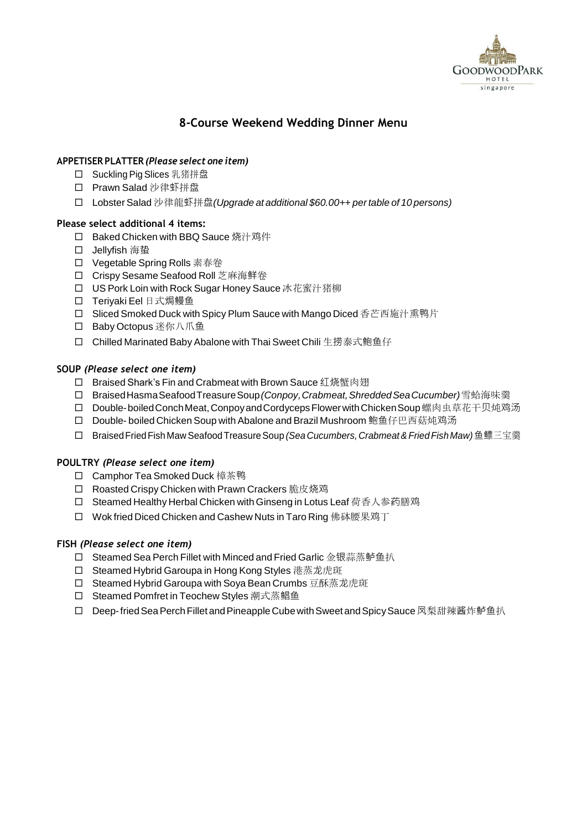

# **8-Course Weekend Wedding Dinner Menu**

## **APPETISER PLATTER** *(Please select one item)*

- □ Suckling Pig Slices 乳猪拼盘
- Prawn Salad 沙律虾拼盘
- Lobster Salad 沙律龍虾拼盘*(Upgrade at additional \$60.00++ pertable of 10 persons)*

## **Please select additional 4 items:**

- □ Baked Chicken with BBQ Sauce 烧汁鸡件
- Jellyfish 海蛰
- □ Vegetable Spring Rolls 素春卷
- □ Crispy Sesame Seafood Roll 芝麻海鲜卷
- □ US Pork Loin with Rock Sugar Honey Sauce 冰花蜜汁猪柳
- Teriyaki Eel 日式焗鳗鱼
- □ Sliced Smoked Duck with Spicy Plum Sauce with Mango Diced 香芒西施汁熏鸭片
- □ Baby Octopus 迷你八爪鱼
- □ Chilled Marinated Baby Abalone with Thai Sweet Chili 生捞泰式鲍鱼仔

## **SOUP** *(Please select one item)*

- □ Braised Shark's Fin and Crabmeat with Brown Sauce 红烧蟹肉翅
- BraisedHasmaSeafoodTreasureSoup*(Conpoy, Crabmeat, ShreddedSeaCucumber)* 雪蛤海味羹
- □ Double-boiled Conch Meat, Conpoy and Cordyceps Flower with Chicken Soup 螺肉虫草花干贝炖鸡汤
- □ Double- boiled Chicken Soup with Abalone and Brazil Mushroom 鲍鱼仔巴西菇炖鸡汤
- BraisedFriedFish Maw SeafoodTreasureSoup *(Sea Cucumbers, Crabmeat&FriedFishMaw)* 鱼鳔三宝羹

### **POULTRY** *(Please select one item)*

- □ Camphor Tea Smoked Duck 樟茶鸭
- □ Roasted Crispy Chicken with Prawn Crackers 脆皮烧鸡
- □ Steamed Healthy Herbal Chicken with Ginseng in Lotus Leaf 荷香人参药膳鸡
- □ Wok fried Diced Chicken and Cashew Nuts in Taro Ring 佛砵腰果鸡丁

### **FISH** *(Please select one item)*

- □ Steamed Sea Perch Fillet with Minced and Fried Garlic 金银蒜蒸鲈鱼扒
- □ Steamed Hybrid Garoupa in Hong Kong Styles 港蒸龙虎斑
- □ Steamed Hybrid Garoupa with Soya Bean Crumbs 豆酥蒸龙虎斑
- □ Steamed Pomfret in Teochew Styles 潮式蒸鲳鱼
- □ Deep-fried Sea Perch Fillet and Pineapple Cube with Sweet and Spicy Sauce 凤梨甜辣酱炸鲈鱼扒